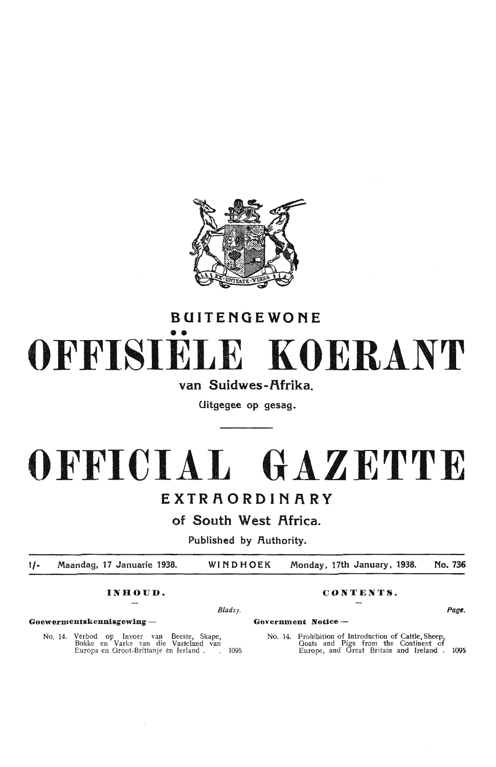

## **BUITENGEWONE**  •• **OFFISIELE KOERANT**

## van Suidwes-Afrika.

Uitgegee op gesag.

# **OFFICIAL GAZETTE**

## **EXTRAORDINARY**

of South West Africa.

Published by Authority.

 $1/$ Maandag, 17 Januarie 1938. WINDHOEK Monday, 17th January, 1938. No. 736

*Blads y.* **Page.** 

**Goewermentskennisgewing- Government Notice** -

No. 14. Verbod op Invoer van Beeste, Skape, Bakke en Varke Yan die Vasteland van Europa en Oroot-Brittanje en Ierland . 1095

**INHOUD. CONTENTS.** 

No. 14. Prohibition of Introduction of Cattle, Sheep, Goats and Pigs from the Continent of Europe, and Great Britain and Ireland . **1095**